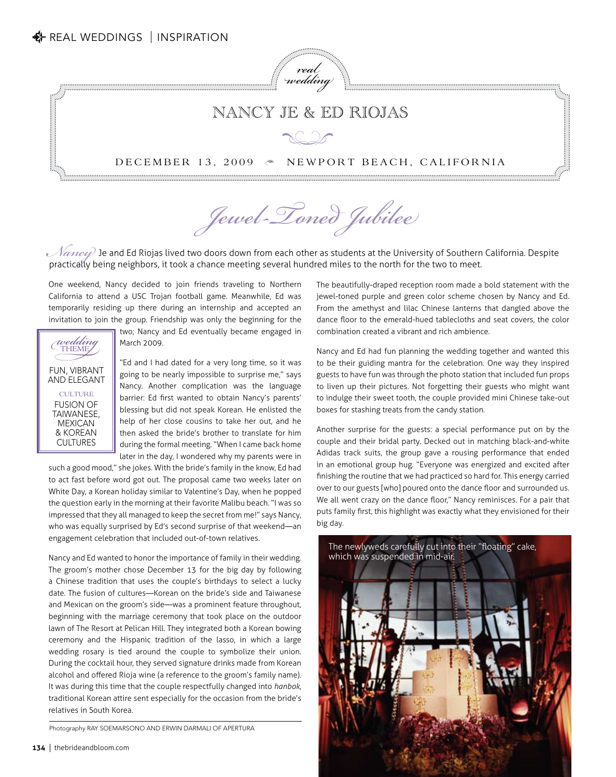

## Nancy Je & Ed Riojas

## $\bigotimes$

## DECEMBER 13, 2009  $\approx$ NEWPORT BEACH, CALIFORNIA

*Jewel-Toned Jubilee*

*Nancy*) Je and Ed Riojas lived two doors down from each other as students at the University of Southern California. Despite practically being neighbors it took a chance meeting several hundred miles to the north for the t practically being neighbors, it took a chance meeting several hundred miles to the north for the two to meet.

One weekend, Nancy decided to join friends traveling to Northern California to attend a USC Trojan football game. Meanwhile, Ed was temporarily residing up there during an internship and accepted an invitation to join the group. Friendship was only the beginning for the



two; Nancy and Ed eventually became engaged in March 2009.

"Ed and I had dated for a very long time, so it was going to be nearly impossible to surprise me," says Nancy. Another complication was the language barrier: Ed first wanted to obtain Nancy's parents' blessing but did not speak Korean. He enlisted the help of her close cousins to take her out, and he then asked the bride's brother to translate for him during the formal meeting. "When I came back home later in the day, I wondered why my parents were in

such a good mood," she jokes. With the bride's family in the know, Ed had to act fast before word got out. The proposal came two weeks later on White Day, a Korean holiday similar to Valentine's Day, when he popped the question early in the morning at their favorite Malibu beach. "I was so impressed that they all managed to keep the secret from me!" says Nancy, who was equally surprised by Ed's second surprise of that weekend—an engagement celebration that included out-of-town relatives.

Nancy and Ed wanted to honor the importance of family in their wedding. The groom's mother chose December 13 for the big day by following a Chinese tradition that uses the couple's birthdays to select a lucky date. The fusion of cultures—Korean on the bride's side and Taiwanese and Mexican on the groom's side—was a prominent feature throughout, beginning with the marriage ceremony that took place on the outdoor lawn of The Resort at Pelican Hill. They integrated both a Korean bowing ceremony and the Hispanic tradition of the lasso, in which a large wedding rosary is tied around the couple to symbolize their union. During the cocktail hour, they served signature drinks made from Korean alcohol and offered Rioja wine (a reference to the groom's family name). It was during this time that the couple respectfully changed into *hanbok*, traditional Korean attire sent especially for the occasion from the bride's relatives in South Korea.

Photography RAY SOEMARSONO AND ERWIN DARMALI OF APERTURA

The beautifully-draped reception room made a bold statement with the jewel-toned purple and green color scheme chosen by Nancy and Ed. From the amethyst and lilac Chinese lanterns that dangled above the dance floor to the emerald-hued tablecloths and seat covers, the color combination created a vibrant and rich ambience.

Nancy and Ed had fun planning the wedding together and wanted this to be their guiding mantra for the celebration. One way they inspired guests to have fun was through the photo station that included fun props to liven up their pictures. Not forgetting their guests who might want to indulge their sweet tooth, the couple provided mini Chinese take-out boxes for stashing treats from the candy station.

Another surprise for the guests: a special performance put on by the couple and their bridal party. Decked out in matching black-and-white Adidas track suits, the group gave a rousing performance that ended in an emotional group hug. "Everyone was energized and excited after finishing the routine that we had practiced so hard for. This energy carried over to our guests [who] poured onto the dance floor and surrounded us. We all went crazy on the dance floor," Nancy reminisces. For a pair that puts family first, this highlight was exactly what they envisioned for their big day.

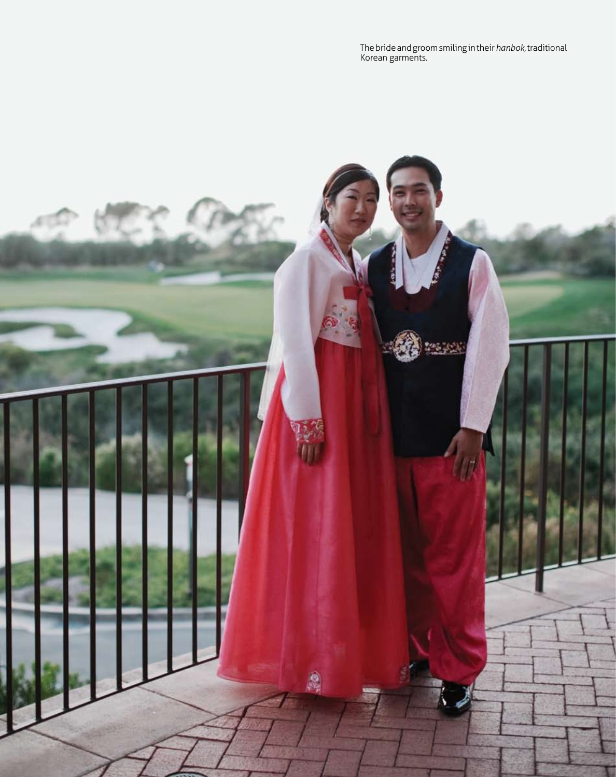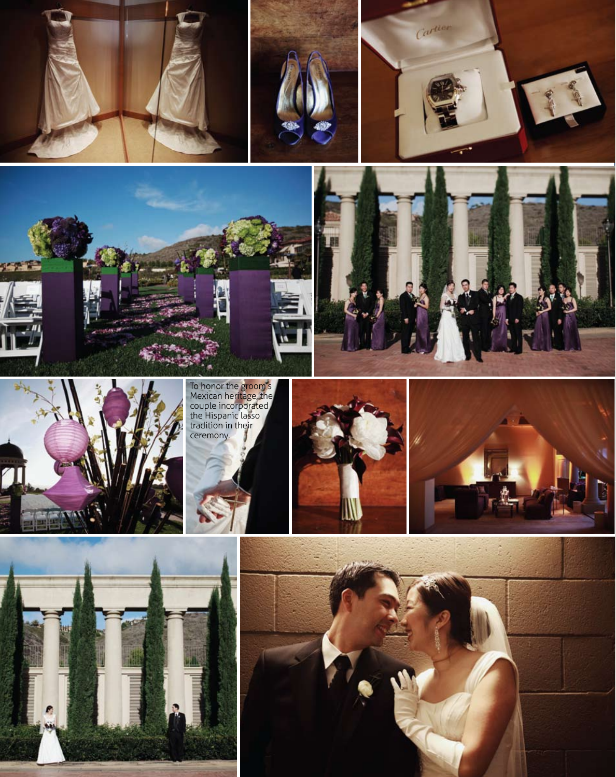











To honor the groom's Mexican heritage, the couple incorporated the Hispanic lasso tradition in their ceremony.